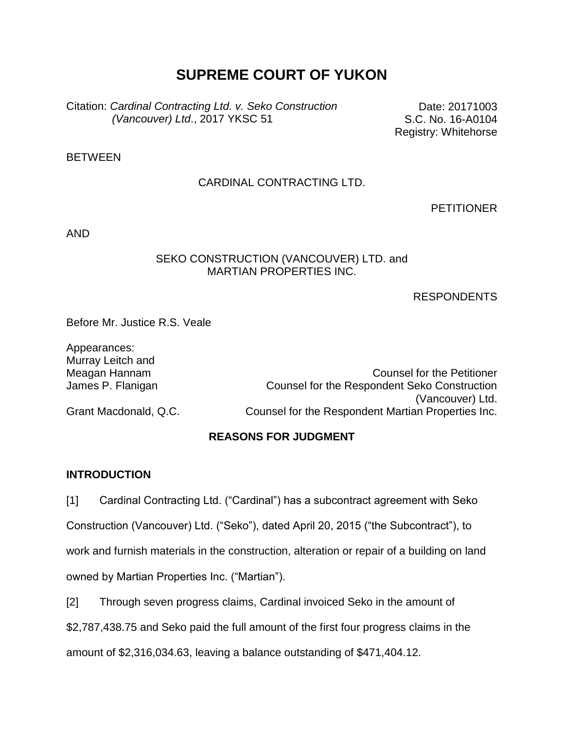# **SUPREME COURT OF YUKON**

Citation: *Cardinal Contracting Ltd. v. Seko Construction (Vancouver) Ltd*., 2017 YKSC 51

Date: 20171003 S.C. No. 16-A0104 Registry: Whitehorse

**BETWEEN** 

### CARDINAL CONTRACTING LTD.

**PETITIONER** 

AND

#### SEKO CONSTRUCTION (VANCOUVER) LTD. and MARTIAN PROPERTIES INC.

#### RESPONDENTS

Before Mr. Justice R.S. Veale

Appearances: Murray Leitch and

Meagan Hannam Counsel for the Petitioner James P. Flanigan Counsel for the Respondent Seko Construction (Vancouver) Ltd. Grant Macdonald, Q.C. Counsel for the Respondent Martian Properties Inc.

### **REASONS FOR JUDGMENT**

#### **INTRODUCTION**

[1] Cardinal Contracting Ltd. ("Cardinal") has a subcontract agreement with Seko Construction (Vancouver) Ltd. ("Seko"), dated April 20, 2015 ("the Subcontract"), to work and furnish materials in the construction, alteration or repair of a building on land owned by Martian Properties Inc. ("Martian").

[2] Through seven progress claims, Cardinal invoiced Seko in the amount of

\$2,787,438.75 and Seko paid the full amount of the first four progress claims in the

amount of \$2,316,034.63, leaving a balance outstanding of \$471,404.12.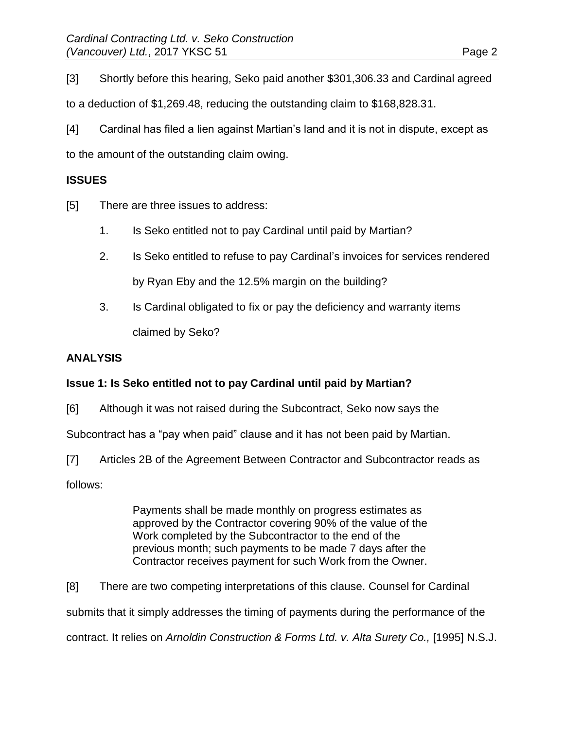[3] Shortly before this hearing, Seko paid another \$301,306.33 and Cardinal agreed to a deduction of \$1,269.48, reducing the outstanding claim to \$168,828.31.

[4] Cardinal has filed a lien against Martian's land and it is not in dispute, except as to the amount of the outstanding claim owing.

# **ISSUES**

[5] There are three issues to address:

- 1. Is Seko entitled not to pay Cardinal until paid by Martian?
- 2. Is Seko entitled to refuse to pay Cardinal's invoices for services rendered by Ryan Eby and the 12.5% margin on the building?
- 3. Is Cardinal obligated to fix or pay the deficiency and warranty items claimed by Seko?

### **ANALYSIS**

# **Issue 1: Is Seko entitled not to pay Cardinal until paid by Martian?**

[6] Although it was not raised during the Subcontract, Seko now says the

Subcontract has a "pay when paid" clause and it has not been paid by Martian.

[7] Articles 2B of the Agreement Between Contractor and Subcontractor reads as follows:

> Payments shall be made monthly on progress estimates as approved by the Contractor covering 90% of the value of the Work completed by the Subcontractor to the end of the previous month; such payments to be made 7 days after the Contractor receives payment for such Work from the Owner.

[8] There are two competing interpretations of this clause. Counsel for Cardinal submits that it simply addresses the timing of payments during the performance of the contract. It relies on Arnoldin Construction & Forms Ltd. v. Alta Surety Co., [1995] N.S.J.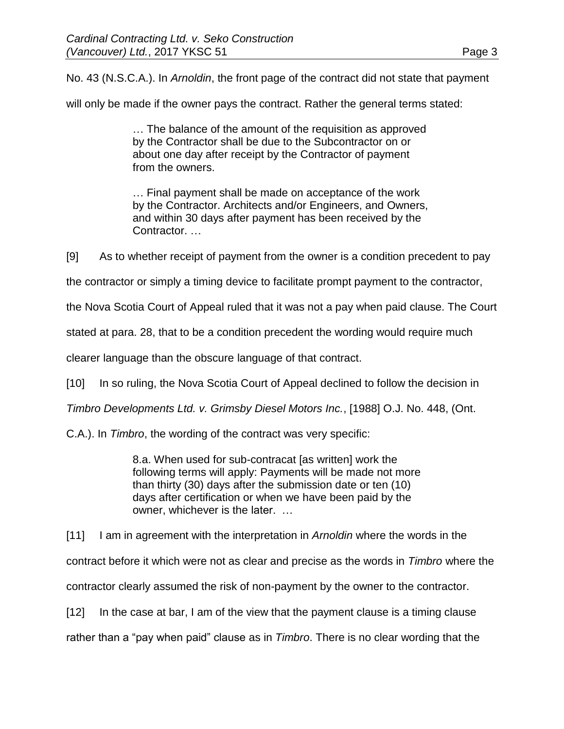No. 43 (N.S.C.A.). In *Arnoldin*, the front page of the contract did not state that payment

will only be made if the owner pays the contract. Rather the general terms stated:

… The balance of the amount of the requisition as approved by the Contractor shall be due to the Subcontractor on or about one day after receipt by the Contractor of payment from the owners.

… Final payment shall be made on acceptance of the work by the Contractor. Architects and/or Engineers, and Owners, and within 30 days after payment has been received by the Contractor. …

[9] As to whether receipt of payment from the owner is a condition precedent to pay

the contractor or simply a timing device to facilitate prompt payment to the contractor,

the Nova Scotia Court of Appeal ruled that it was not a pay when paid clause. The Court

stated at para. 28, that to be a condition precedent the wording would require much

clearer language than the obscure language of that contract.

[10] In so ruling, the Nova Scotia Court of Appeal declined to follow the decision in

*Timbro Developments Ltd. v. Grimsby Diesel Motors Inc.*, [1988] O.J. No. 448, (Ont.

C.A.). In *Timbro*, the wording of the contract was very specific:

8.a. When used for sub-contracat [as written] work the following terms will apply: Payments will be made not more than thirty (30) days after the submission date or ten (10) days after certification or when we have been paid by the owner, whichever is the later. …

[11] I am in agreement with the interpretation in *Arnoldin* where the words in the

contract before it which were not as clear and precise as the words in *Timbro* where the

contractor clearly assumed the risk of non-payment by the owner to the contractor.

[12] In the case at bar, I am of the view that the payment clause is a timing clause

rather than a "pay when paid" clause as in *Timbro*. There is no clear wording that the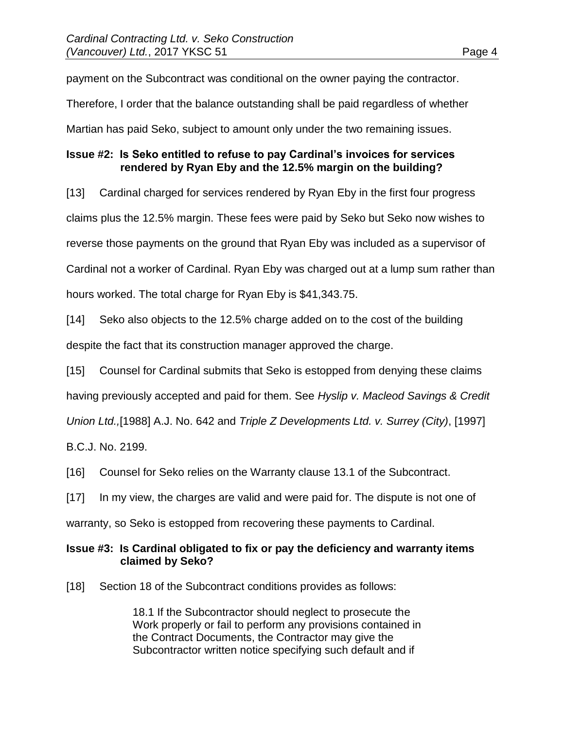payment on the Subcontract was conditional on the owner paying the contractor.

Therefore, I order that the balance outstanding shall be paid regardless of whether

Martian has paid Seko, subject to amount only under the two remaining issues.

# **Issue #2: Is Seko entitled to refuse to pay Cardinal's invoices for services rendered by Ryan Eby and the 12.5% margin on the building?**

[13] Cardinal charged for services rendered by Ryan Eby in the first four progress claims plus the 12.5% margin. These fees were paid by Seko but Seko now wishes to reverse those payments on the ground that Ryan Eby was included as a supervisor of Cardinal not a worker of Cardinal. Ryan Eby was charged out at a lump sum rather than hours worked. The total charge for Ryan Eby is \$41,343.75.

[14] Seko also objects to the 12.5% charge added on to the cost of the building despite the fact that its construction manager approved the charge.

[15] Counsel for Cardinal submits that Seko is estopped from denying these claims

having previously accepted and paid for them. See *Hyslip v. Macleod Savings & Credit* 

*Union Ltd.,*[1988] A.J. No. 642 and *Triple Z Developments Ltd. v. Surrey (City)*, [1997]

B.C.J. No. 2199.

[16] Counsel for Seko relies on the Warranty clause 13.1 of the Subcontract.

[17] In my view, the charges are valid and were paid for. The dispute is not one of

warranty, so Seko is estopped from recovering these payments to Cardinal.

### **Issue #3: Is Cardinal obligated to fix or pay the deficiency and warranty items claimed by Seko?**

[18] Section 18 of the Subcontract conditions provides as follows:

18.1 If the Subcontractor should neglect to prosecute the Work properly or fail to perform any provisions contained in the Contract Documents, the Contractor may give the Subcontractor written notice specifying such default and if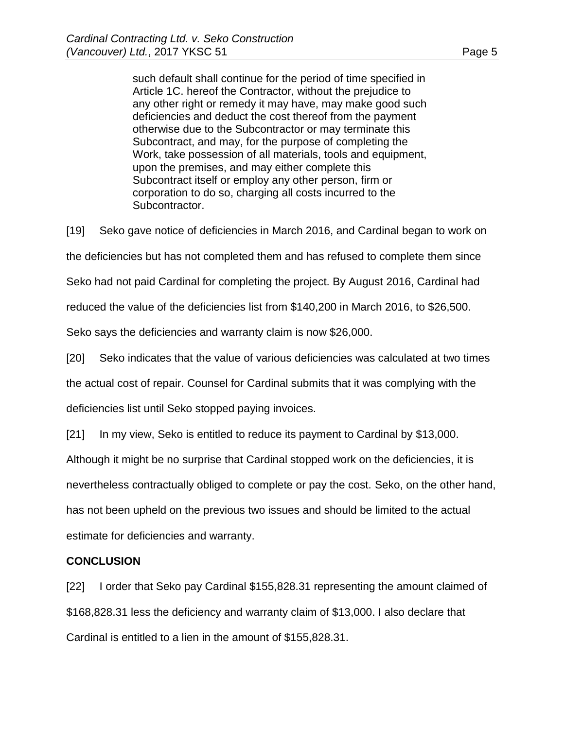such default shall continue for the period of time specified in Article 1C. hereof the Contractor, without the prejudice to any other right or remedy it may have, may make good such deficiencies and deduct the cost thereof from the payment otherwise due to the Subcontractor or may terminate this Subcontract, and may, for the purpose of completing the Work, take possession of all materials, tools and equipment, upon the premises, and may either complete this Subcontract itself or employ any other person, firm or corporation to do so, charging all costs incurred to the Subcontractor.

[19] Seko gave notice of deficiencies in March 2016, and Cardinal began to work on the deficiencies but has not completed them and has refused to complete them since Seko had not paid Cardinal for completing the project. By August 2016, Cardinal had reduced the value of the deficiencies list from \$140,200 in March 2016, to \$26,500. Seko says the deficiencies and warranty claim is now \$26,000. [20] Seko indicates that the value of various deficiencies was calculated at two times

the actual cost of repair. Counsel for Cardinal submits that it was complying with the

deficiencies list until Seko stopped paying invoices.

[21] In my view, Seko is entitled to reduce its payment to Cardinal by \$13,000.

Although it might be no surprise that Cardinal stopped work on the deficiencies, it is

nevertheless contractually obliged to complete or pay the cost. Seko, on the other hand,

has not been upheld on the previous two issues and should be limited to the actual

estimate for deficiencies and warranty.

### **CONCLUSION**

[22] I order that Seko pay Cardinal \$155,828.31 representing the amount claimed of \$168,828.31 less the deficiency and warranty claim of \$13,000. I also declare that Cardinal is entitled to a lien in the amount of \$155,828.31.